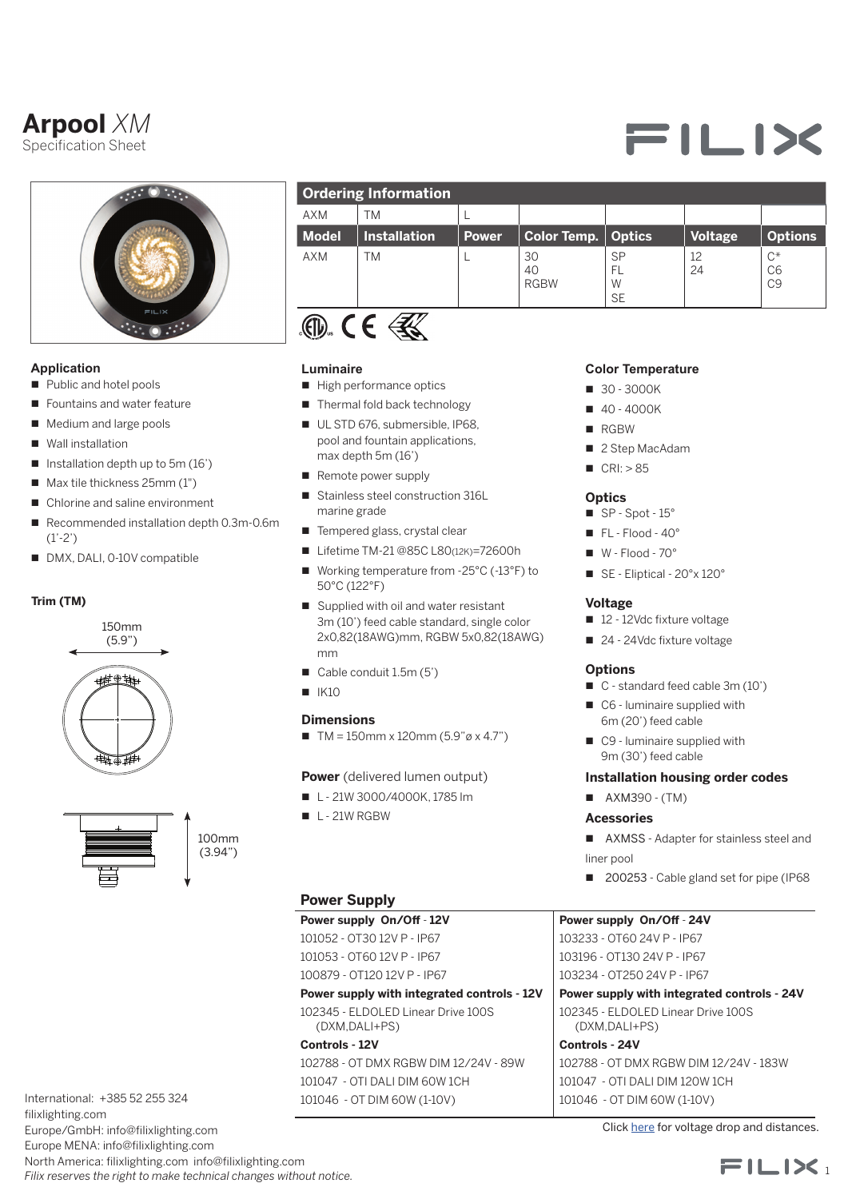# **Arpool** *XM*

Specification Sheet



# **Application**

- Public and hotel pools
- Fountains and water feature
- Medium and large pools
- $\blacksquare$  Wall installation
- $\blacksquare$  Installation depth up to 5m (16')
- $\blacksquare$  Max tile thickness 25mm (1")
- Chlorine and saline environment
- n Recommended installation depth 0.3m-0.6m (1'-2')
- DMX, DALI, 0-10V compatible

# **Trim (TM)**





100mm (3.94")

International: +385 52 255 324 filixlighting.com Europe/GmbH: info@filixlighting.com Europe MENA: info@filixlighting.com

North America: filixlighting.com info@filixlighting.com *Filix reserves the right to make technical changes without notice.*

| <b>Ordering Information</b> |                     |       |                         |                                   |                |                                           |
|-----------------------------|---------------------|-------|-------------------------|-----------------------------------|----------------|-------------------------------------------|
| <b>AXM</b>                  | <b>TM</b>           |       |                         |                                   |                |                                           |
| <b>Model</b>                | <b>Installation</b> | Power | <b>Color Temp.</b>      | <b>Optics</b>                     | <b>Voltage</b> | <b>Options</b>                            |
| <b>AXM</b>                  | ΤM                  |       | 30<br>40<br><b>RGBW</b> | <b>SP</b><br>FL<br>W<br><b>SE</b> | 12<br>24       | $C^*$<br>C <sub>6</sub><br>C <sub>9</sub> |
|                             |                     |       |                         |                                   |                |                                           |

### **Luminaire**

- High performance optics
- $\blacksquare$  Thermal fold back technology
- UL STD 676, submersible, IP68, pool and fountain applications, max depth 5m (16')
- Remote power supply
- Stainless steel construction 316L marine grade
- Tempered glass, crystal clear
- Lifetime TM-21 @85C L80(12K)=72600h
- Working temperature from -25°C (-13°F) to 50°C (122°F)
- $\blacksquare$  Supplied with oil and water resistant 3m (10') feed cable standard, single color 2x0,82(18AWG)mm, RGBW 5x0,82(18AWG) mm
- $\Box$  Cable conduit 1.5m (5')
- $N = 1K10$

# **Dimensions**

 $\blacksquare$  TM = 150mm x 120mm (5.9"ø x 4.7")

**Power** (delivered lumen output)

- $\blacksquare$  L 21W 3000/4000K, 1785 lm
- $L 21W$  RGBW

# **Power Supply**

**Power supply On/Off** - **12V** 101052 - OT30 12V P - IP67 101053 - OT60 12V P - IP67

100879 - OT120 12V P - IP67

**Power supply with integrated controls - 12V** 102345 - ELDOLED Linear Drive 100S (DXM,DALI+PS)

# **Controls - 12V**

102788 - OT DMX RGBW DIM 12/24V - 89W 101047 - OTI DALI DIM 60W 1CH 101046 - OT DIM 60W (1-10V)

# **Color Temperature**

- $\blacksquare$  30 3000K
- $10 4000K$
- **n** RGBW
- 2 Step MacAdam
- $CRI: > 85$

#### **Optics**

- $\blacksquare$  SP Spot 15°
- $\blacksquare$  FL Flood 40°
- $W Flood 70°$
- SE Eliptical 20°x 120°

#### **Voltage**

- 12 12Vdc fixture voltage
- 24 24Vdc fixture voltage

#### **Options**

- C standard feed cable 3m (10')
- $\Box$  C6 luminaire supplied with 6m (20') feed cable
- $\Box$  C9 luminaire supplied with 9m (30') feed cable

#### **Installation housing order codes**

 $\blacksquare$  AXM390 - (TM)

#### **Acessories**

- AXMSS Adapter for stainless steel and liner pool
- 200253 Cable gland set for pipe (IP68

# **Power supply On/Off** - **24V**

103233 - OT60 24V P - IP67 103196 - OT130 24V P - IP67 103234 - OT250 24V P - IP67

**Power supply with integrated controls - 24V** 102345 - ELDOLED Linear Drive 100S

#### (DXM,DALI+PS) **Controls - 24V** 102788 - OT DMX RGBW DIM 12/24V - 183W 101047 - OTI DALI DIM 120W 1CH 101046 - OT DIM 60W (1-10V)

Click [here](https://direct.lc.chat/11747922/) for voltage drop and distances.



# **=ILIX**